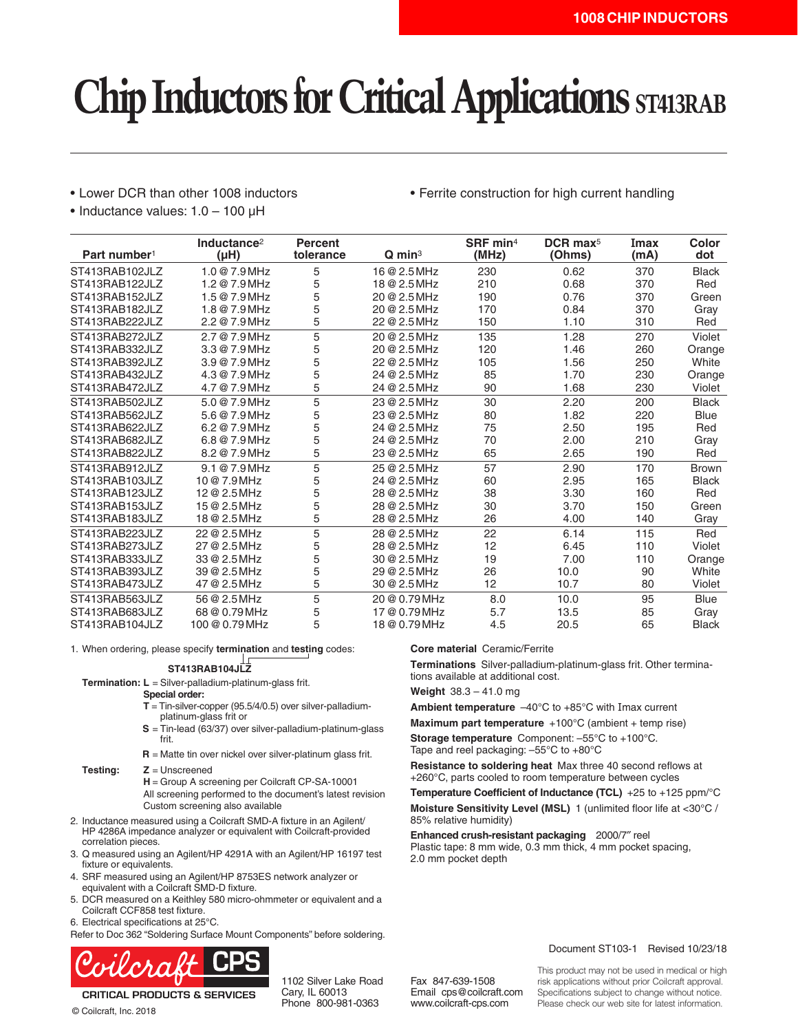# **Chip Inductors for Critical Applications ST413RAB**

• Lower DCR than other 1008 inductors

• Ferrite construction for high current handling

• Inductance values: 1.0 – 100 µH

| Part number <sup>1</sup> | Inductance <sup>2</sup><br>(HH) | <b>Percent</b><br>tolerance | $Q$ min <sup>3</sup> | SRF min <sup>4</sup><br>(MHz) | $DCR$ max <sup>5</sup><br>(Ohms) | Imax<br>(mA) | Color<br>dot |
|--------------------------|---------------------------------|-----------------------------|----------------------|-------------------------------|----------------------------------|--------------|--------------|
| ST413RAB102JLZ           | 1.0 @ 7.9 MHz                   | 5                           | 16 @ 2.5 MHz         | 230                           | 0.62                             | 370          | <b>Black</b> |
| ST413RAB122JLZ           | 1.2@7.9MHz                      | 5                           | 18 @ 2.5 MHz         | 210                           | 0.68                             | 370          | Red          |
| ST413RAB152JLZ           | 1.5@7.9MHz                      | 5                           | 20 @ 2.5 MHz         | 190                           | 0.76                             | 370          | Green        |
| ST413RAB182JLZ           | 1.8 @ 7.9 MHz                   | 5                           | 20 @ 2.5 MHz         | 170                           | 0.84                             | 370          | Gray         |
| ST413RAB222JLZ           | 2.2 @ 7.9 MHz                   | 5                           | 22 @ 2.5 MHz         | 150                           | 1.10                             | 310          | Red          |
| ST413RAB272JLZ           | 2.7 @ 7.9 MHz                   | 5                           | 20 @ 2.5 MHz         | 135                           | 1.28                             | 270          | Violet       |
| ST413RAB332JLZ           | 3.3@7.9MHz                      | 5                           | 20 @ 2.5 MHz         | 120                           | 1.46                             | 260          | Orange       |
| ST413RAB392JLZ           | 3.9 @ 7.9 MHz                   | 5                           | 22 @ 2.5 MHz         | 105                           | 1.56                             | 250          | White        |
| ST413RAB432JLZ           | 4.3 @ 7.9 MHz                   | 5                           | 24 @ 2.5 MHz         | 85                            | 1.70                             | 230          | Orange       |
| ST413RAB472JLZ           | 4.7 @ 7.9 MHz                   | 5                           | 24 @ 2.5 MHz         | 90                            | 1.68                             | 230          | Violet       |
| ST413RAB502JLZ           | 5.0 @ 7.9 MHz                   | 5                           | 23 @ 2.5 MHz         | 30                            | 2.20                             | 200          | <b>Black</b> |
| ST413RAB562JLZ           | 5.6 @ 7.9 MHz                   | 5                           | 23 @ 2.5 MHz         | 80                            | 1.82                             | 220          | <b>Blue</b>  |
| ST413RAB622JLZ           | 6.2@7.9MHz                      | 5                           | 24 @ 2.5 MHz         | 75                            | 2.50                             | 195          | Red          |
| ST413RAB682JLZ           | 6.8 @ 7.9 MHz                   | 5                           | 24 @ 2.5 MHz         | 70                            | 2.00                             | 210          | Gray         |
| ST413RAB822JLZ           | 8.2 @ 7.9 MHz                   | 5                           | 23 @ 2.5 MHz         | 65                            | 2.65                             | 190          | Red          |
| ST413RAB912JLZ           | 9.1@7.9MHz                      | 5                           | 25 @ 2.5 MHz         | 57                            | 2.90                             | 170          | <b>Brown</b> |
| ST413RAB103JLZ           | $10@7.9$ MHz                    | 5                           | 24 @ 2.5 MHz         | 60                            | 2.95                             | 165          | <b>Black</b> |
| ST413RAB123JLZ           | 12 @ 2.5 MHz                    | 5                           | 28 @ 2.5 MHz         | 38                            | 3.30                             | 160          | Red          |
| ST413RAB153JLZ           | 15 @ 2.5 MHz                    | 5                           | 28 @ 2.5 MHz         | 30                            | 3.70                             | 150          | Green        |
| ST413RAB183JLZ           | 18 @ 2.5 MHz                    | 5                           | 28 @ 2.5 MHz         | 26                            | 4.00                             | 140          | Gray         |
| ST413RAB223JLZ           | 22 @ 2.5 MHz                    | 5                           | 28 @ 2.5 MHz         | 22                            | 6.14                             | 115          | Red          |
| ST413RAB273JLZ           | 27 @ 2.5 MHz                    | 5                           | 28 @ 2.5 MHz         | 12                            | 6.45                             | 110          | Violet       |
| ST413RAB333JLZ           | 33 @ 2.5 MHz                    | 5                           | 30 @ 2.5 MHz         | 19                            | 7.00                             | 110          | Orange       |
| ST413RAB393JLZ           | 39 @ 2.5 MHz                    | 5                           | 29 @ 2.5 MHz         | 26                            | 10.0                             | 90           | White        |
| ST413RAB473JLZ           | 47 @ 2.5 MHz                    | 5                           | 30 @ 2.5 MHz         | 12                            | 10.7                             | 80           | Violet       |
| ST413RAB563JLZ           | 56 @ 2.5 MHz                    | 5                           | 20 @ 0.79 MHz        | 8.0                           | 10.0                             | 95           | <b>Blue</b>  |
| ST413RAB683JLZ           | 68 @ 0.79 MHz                   | 5                           | 17 @ 0.79 MHz        | 5.7                           | 13.5                             | 85           | Gray         |
| ST413RAB104JLZ           | 100 @ 0.79 MHz                  | 5                           | 18 @ 0.79 MHz        | 4.5                           | 20.5                             | 65           | <b>Black</b> |

1. When ordering, please specify **termination** and **testing** codes:

### **ST413RAB104JLZ**

**Termination: L** = Silver-palladium-platinum-glass frit.

**Special order:**

- **T** = Tin-silver-copper (95.5/4/0.5) over silver-palladiumplatinum-glass frit or
- **S** = Tin-lead (63/37) over silver-palladium-platinum-glass frit.
- **R** = Matte tin over nickel over silver-platinum glass frit.
- **Testing: Z** = Unscreened

**H** = Group A screening per Coilcraft CP-SA-10001 All screening performed to the document's latest revision Custom screening also available

- 2. Inductance measured using a Coilcraft SMD-A fixture in an Agilent/ HP 4286A impedance analyzer or equivalent with Coilcraft-provided correlation pieces.
- 3. Q measured using an Agilent/HP 4291A with an Agilent/HP 16197 test fixture or equivalents.
- 4. SRF measured using an Agilent/HP 8753ES network analyzer or equivalent with a Coilcraft SMD-D fixture.
- 5. DCR measured on a Keithley 580 micro-ohmmeter or equivalent and a Coilcraft CCF858 test fixture.
- 6. Electrical specifications at 25°C.

© Coilcraft, Inc. 2018

Refer to Doc 362 "Soldering Surface Mount Components" before soldering.



**CRITICAL PRODUCTS & SERVICES** 

1102 Silver Lake Road Cary, IL 60013 Phone 800-981-0363

**Core material** Ceramic/Ferrite

**Terminations** Silver-palladium-platinum-glass frit. Other terminations available at additional cost.

**Weight** 38.3 – 41.0 mg

**Ambient temperature** –40°C to +85°C with Imax current **Maximum part temperature** +100°C (ambient + temp rise)

**Storage temperature** Component: –55°C to +100°C.

Tape and reel packaging: –55°C to +80°C

**Resistance to soldering heat** Max three 40 second reflows at +260°C, parts cooled to room temperature between cycles

**Temperature Coefficient of Inductance (TCL)** +25 to +125 ppm/°C **Moisture Sensitivity Level (MSL)** 1 (unlimited floor life at <30°C / 85% relative humidity)

**Enhanced crush-resistant packaging** 2000/7″ reel Plastic tape: 8 mm wide, 0.3 mm thick, 4 mm pocket spacing, 2.0 mm pocket depth

#### Document ST103-1 Revised 10/23/18

Fax 847-639-1508 Email cps@coilcraft.com www.coilcraft-cps.com

This product may not be used in medical or high risk applications without prior Coilcraft approval. Specifications subject to change without notice. Please check our web site for latest information.